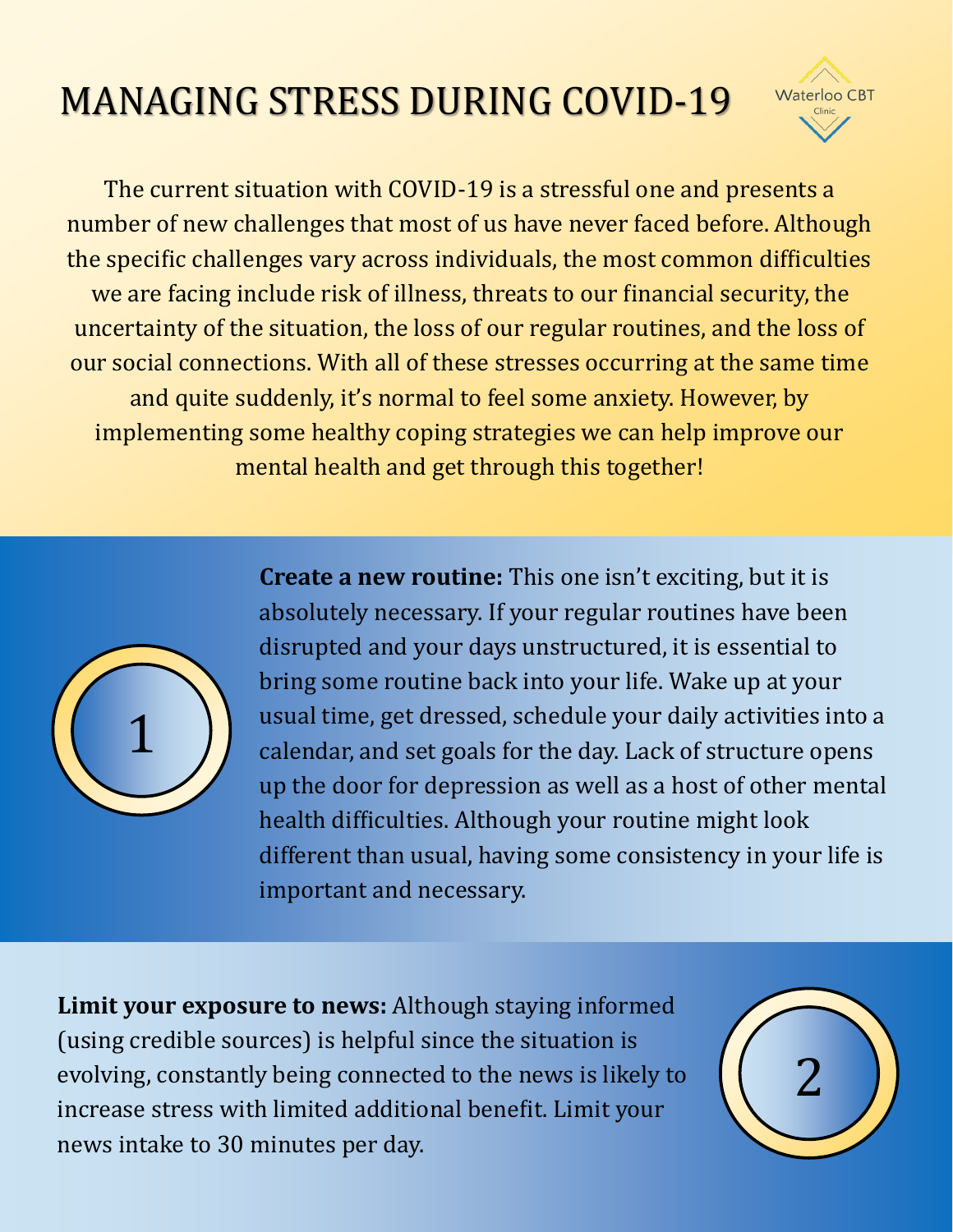## MANAGING STRESS DURING COVID-19



The current situation with COVID-19 is a stressful one and presents a number of new challenges that most of us have never faced before. Although the specific challenges vary across individuals, the most common difficulties we are facing include risk of illness, threats to our financial security, the uncertainty of the situation, the loss of our regular routines, and the loss of our social connections. With all of these stresses occurring at the same time and quite suddenly, it's normal to feel some anxiety. However, by implementing some healthy coping strategies we can help improve our mental health and get through this together!



**Create a new routine:** This one isn't exciting, but it is absolutely necessary. If your regular routines have been disrupted and your days unstructured, it is essential to bring some routine back into your life. Wake up at your usual time, get dressed, schedule your daily activities into a calendar, and set goals for the day. Lack of structure opens up the door for depression as well as a host of other mental health difficulties. Although your routine might look different than usual, having some consistency in your life is important and necessary.

**Limit your exposure to news:** Although staying informed (using credible sources) is helpful since the situation is evolving, constantly being connected to the news is likely to increase stress with limited additional benefit. Limit your news intake to 30 minutes per day.

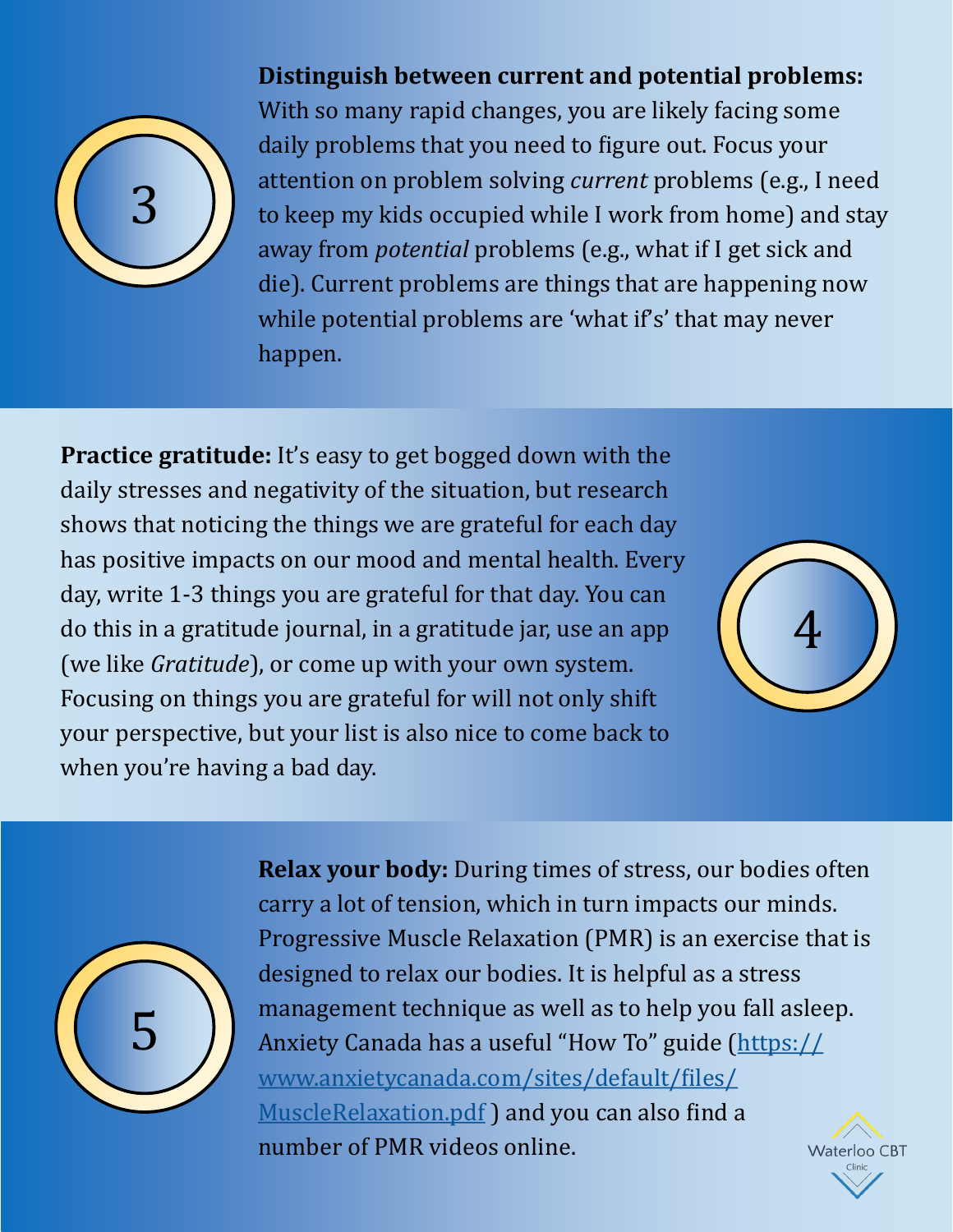

## **Distinguish between current and potential problems:**

With so many rapid changes, you are likely facing some daily problems that you need to figure out. Focus your attention on problem solving *current* problems (e.g., I need to keep my kids occupied while I work from home) and stay away from *potential* problems (e.g., what if I get sick and die). Current problems are things that are happening now while potential problems are 'what if's' that may never happen.

**Practice gratitude:** It's easy to get bogged down with the daily stresses and negativity of the situation, but research shows that noticing the things we are grateful for each day has positive impacts on our mood and mental health. Every day, write 1-3 things you are grateful for that day. You can do this in a gratitude journal, in a gratitude jar, use an app (we like *Gratitude*), or come up with your own system. Focusing on things you are grateful for will not only shift your perspective, but your list is also nice to come back to when you're having a bad day.





**Relax your body:** During times of stress, our bodies often carry a lot of tension, which in turn impacts our minds. Progressive Muscle Relaxation (PMR) is an exercise that is designed to relax our bodies. It is helpful as a stress management technique as well as to help you fall asleep. Anxiety Canada has a useful "How To" guide ([https://](https://www.anxietycanada.com/sites/default/files/MuscleRelaxation.pdf) [www.anxietycanada.com/sites/default/files/](https://www.anxietycanada.com/sites/default/files/MuscleRelaxation.pdf) [MuscleRelaxation.pdf](https://www.anxietycanada.com/sites/default/files/MuscleRelaxation.pdf) ) and you can also find a number of PMR videos online. Waterloo CBT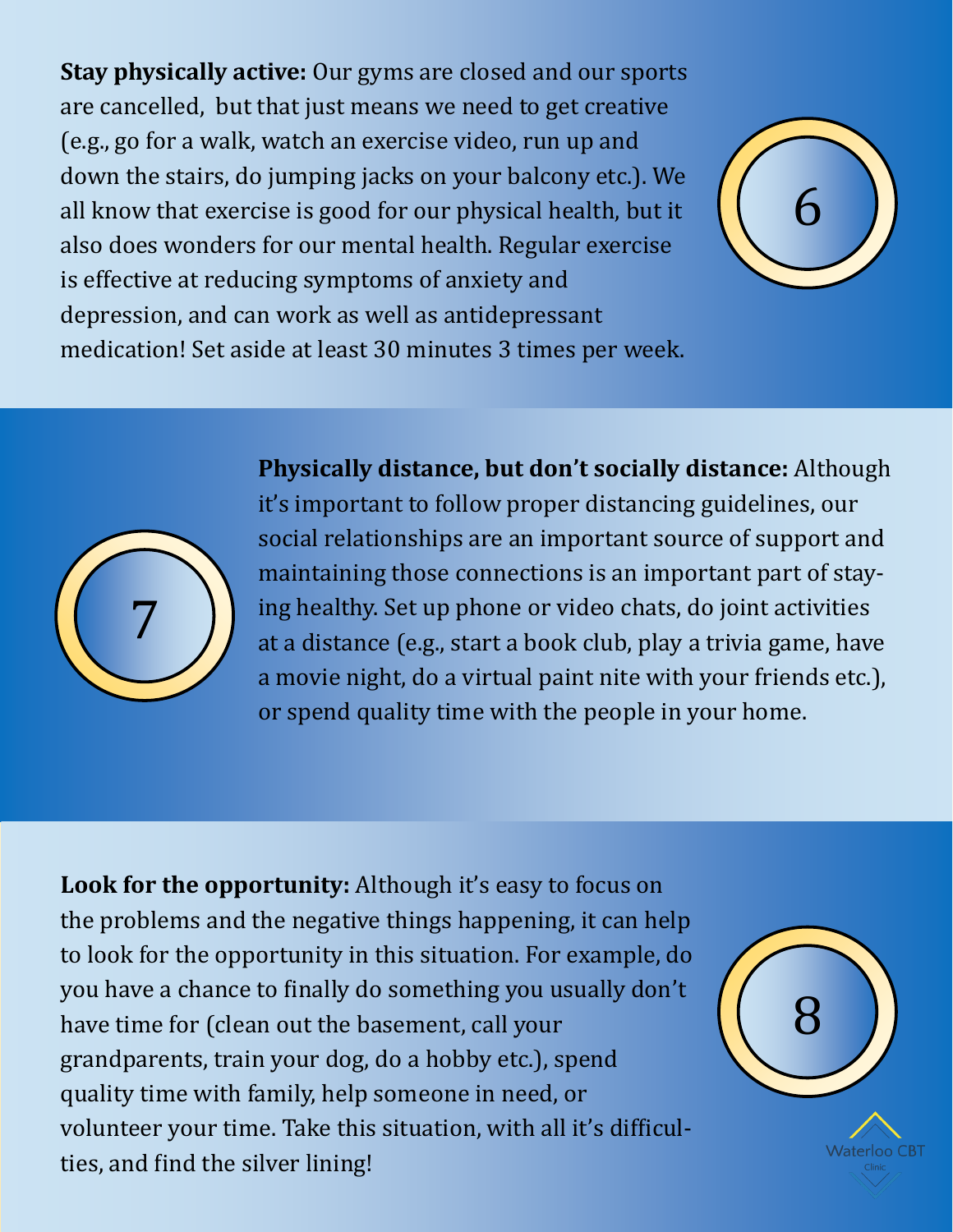**Stay physically active:** Our gyms are closed and our sports are cancelled, but that just means we need to get creative (e.g., go for a walk, watch an exercise video, run up and down the stairs, do jumping jacks on your balcony etc.). We all know that exercise is good for our physical health, but it also does wonders for our mental health. Regular exercise is effective at reducing symptoms of anxiety and depression, and can work as well as antidepressant medication! Set aside at least 30 minutes 3 times per week.



7

**Physically distance, but don't socially distance:** Although it's important to follow proper distancing guidelines, our social relationships are an important source of support and maintaining those connections is an important part of staying healthy. Set up phone or video chats, do joint activities at a distance (e.g., start a book club, play a trivia game, have a movie night, do a virtual paint nite with your friends etc.),

or spend quality time with the people in your home.

**Look for the opportunity:** Although it's easy to focus on the problems and the negative things happening, it can help to look for the opportunity in this situation. For example, do you have a chance to finally do something you usually don't have time for (clean out the basement, call your grandparents, train your dog, do a hobby etc.), spend quality time with family, help someone in need, or volunteer your time. Take this situation, with all it's difficulties, and find the silver lining!



**Waterloo CBT**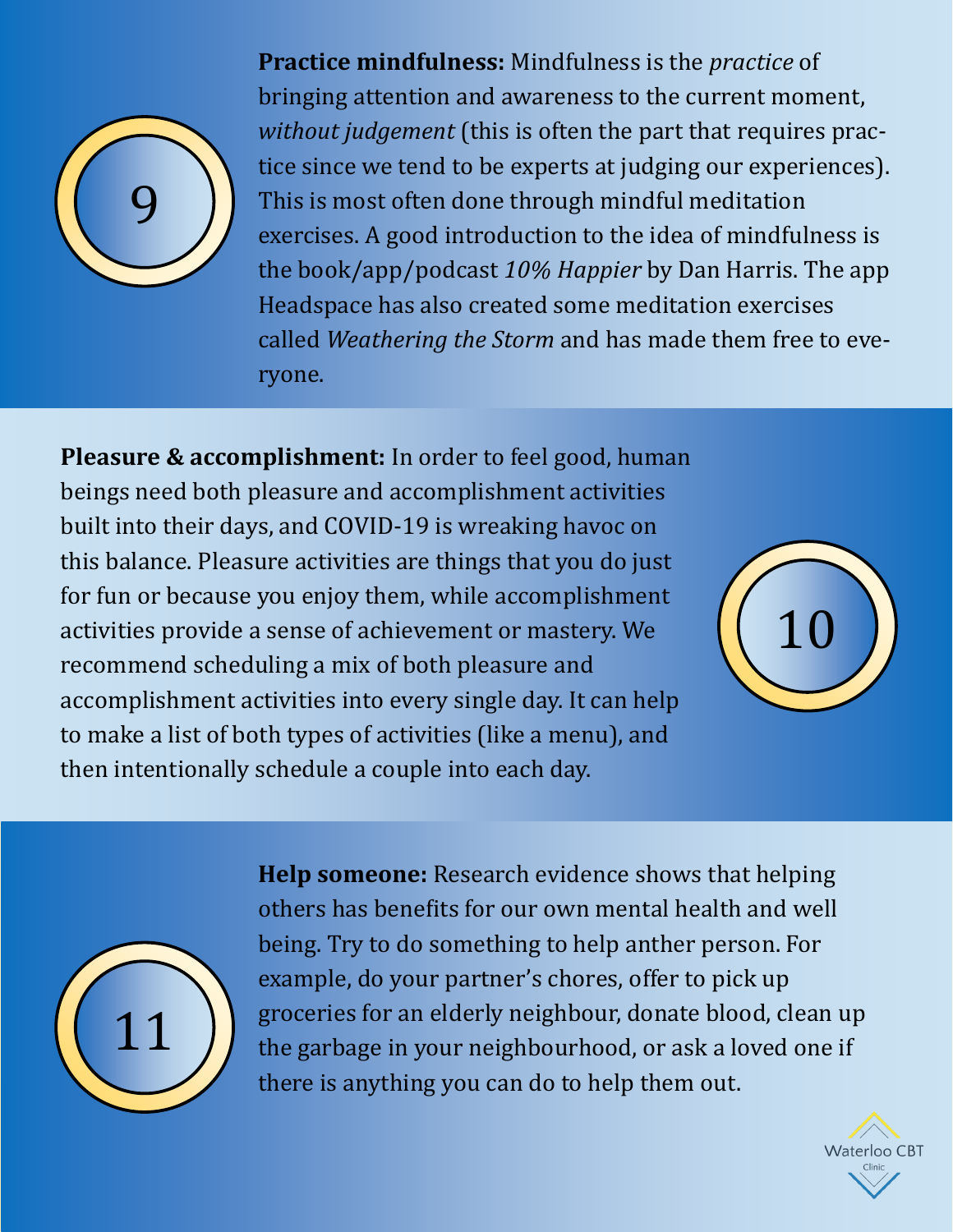

**Practice mindfulness:** Mindfulness is the *practice* of bringing attention and awareness to the current moment, *without judgement* (this is often the part that requires practice since we tend to be experts at judging our experiences). This is most often done through mindful meditation exercises. A good introduction to the idea of mindfulness is the book/app/podcast *10% Happier* by Dan Harris. The app Headspace has also created some meditation exercises called *Weathering the Storm* and has made them free to everyone.

**Pleasure & accomplishment:** In order to feel good, human beings need both pleasure and accomplishment activities built into their days, and COVID-19 is wreaking havoc on this balance. Pleasure activities are things that you do just for fun or because you enjoy them, while accomplishment activities provide a sense of achievement or mastery. We recommend scheduling a mix of both pleasure and accomplishment activities into every single day. It can help to make a list of both types of activities (like a menu), and then intentionally schedule a couple into each day.





**Help someone:** Research evidence shows that helping others has benefits for our own mental health and well being. Try to do something to help anther person. For example, do your partner's chores, offer to pick up groceries for an elderly neighbour, donate blood, clean up the garbage in your neighbourhood, or ask a loved one if there is anything you can do to help them out.

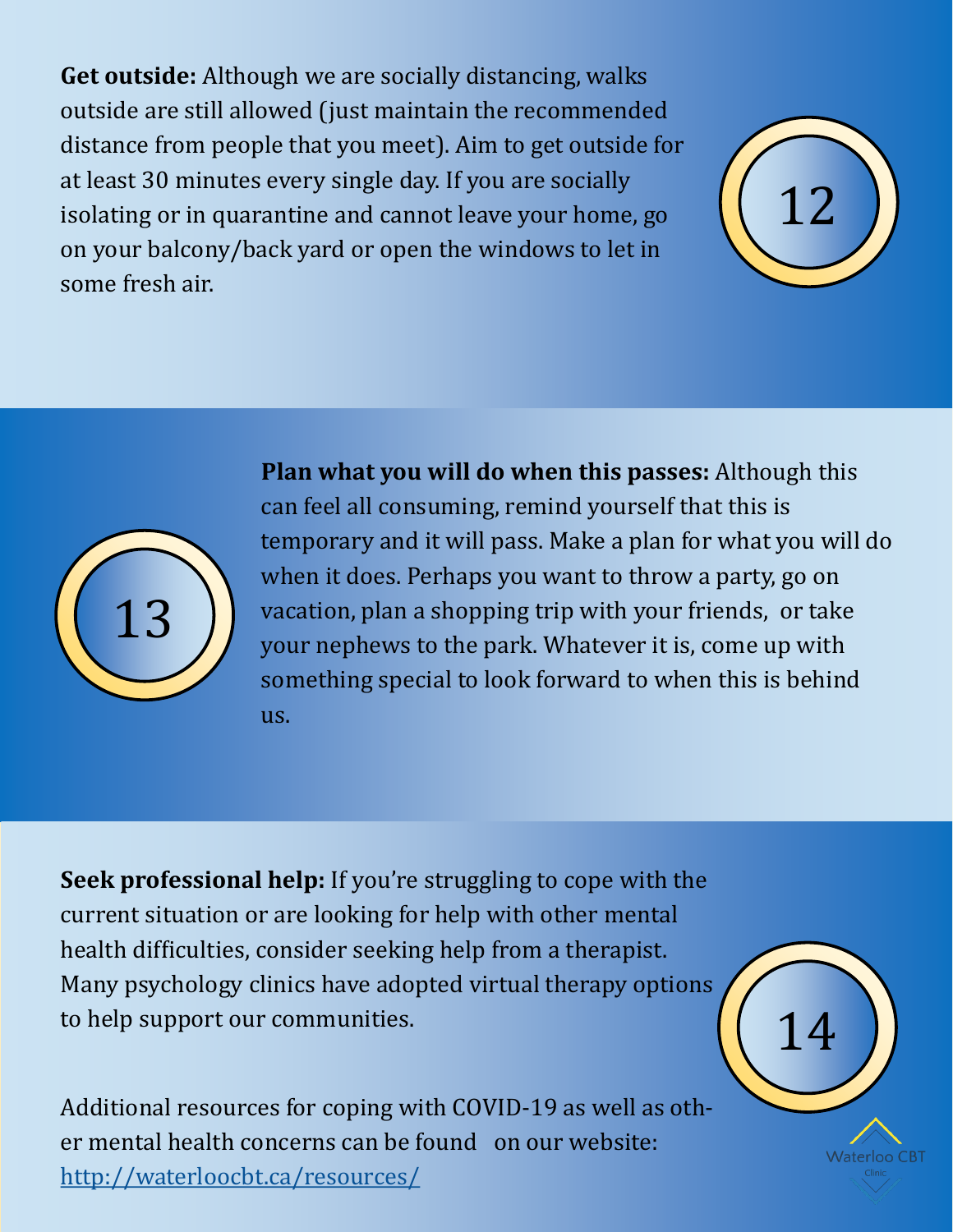**Get outside:** Although we are socially distancing, walks outside are still allowed (just maintain the recommended distance from people that you meet). Aim to get outside for at least 30 minutes every single day. If you are socially isolating or in quarantine and cannot leave your home, go on your balcony/back yard or open the windows to let in some fresh air.





**Plan what you will do when this passes:** Although this can feel all consuming, remind yourself that this is temporary and it will pass. Make a plan for what you will do when it does. Perhaps you want to throw a party, go on vacation, plan a shopping trip with your friends, or take your nephews to the park. Whatever it is, come up with something special to look forward to when this is behind us.

**Seek professional help:** If you're struggling to cope with the current situation or are looking for help with other mental health difficulties, consider seeking help from a therapist. Many psychology clinics have adopted virtual therapy options to help support our communities.

Additional resources for coping with COVID-19 as well as other mental health concerns can be found on our website: <http://waterloocbt.ca/resources/>